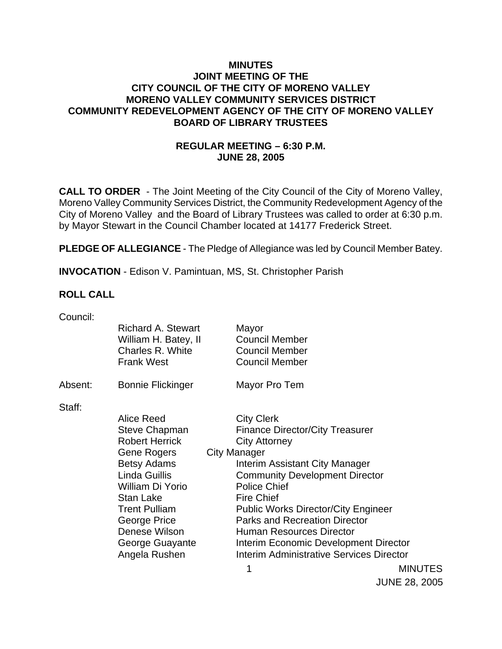### **MINUTES JOINT MEETING OF THE CITY COUNCIL OF THE CITY OF MORENO VALLEY MORENO VALLEY COMMUNITY SERVICES DISTRICT COMMUNITY REDEVELOPMENT AGENCY OF THE CITY OF MORENO VALLEY BOARD OF LIBRARY TRUSTEES**

## **REGULAR MEETING – 6:30 P.M. JUNE 28, 2005**

**CALL TO ORDER** - The Joint Meeting of the City Council of the City of Moreno Valley, Moreno Valley Community Services District, the Community Redevelopment Agency of the City of Moreno Valley and the Board of Library Trustees was called to order at 6:30 p.m. by Mayor Stewart in the Council Chamber located at 14177 Frederick Street.

**PLEDGE OF ALLEGIANCE** - The Pledge of Allegiance was led by Council Member Batey.

**INVOCATION** - Edison V. Pamintuan, MS, St. Christopher Parish

#### **ROLL CALL**

| Council: |                          |                                                 |                |
|----------|--------------------------|-------------------------------------------------|----------------|
|          | Richard A. Stewart       | Mayor                                           |                |
|          | William H. Batey, II     | <b>Council Member</b>                           |                |
|          | Charles R. White         | <b>Council Member</b>                           |                |
|          | <b>Frank West</b>        | <b>Council Member</b>                           |                |
| Absent:  | <b>Bonnie Flickinger</b> | Mayor Pro Tem                                   |                |
| Staff:   |                          |                                                 |                |
|          | Alice Reed               | <b>City Clerk</b>                               |                |
|          | <b>Steve Chapman</b>     | <b>Finance Director/City Treasurer</b>          |                |
|          | <b>Robert Herrick</b>    | <b>City Attorney</b>                            |                |
|          | Gene Rogers              | <b>City Manager</b>                             |                |
|          | <b>Betsy Adams</b>       | Interim Assistant City Manager                  |                |
|          | Linda Guillis            | <b>Community Development Director</b>           |                |
|          | William Di Yorio         | <b>Police Chief</b>                             |                |
|          | <b>Stan Lake</b>         | <b>Fire Chief</b>                               |                |
|          | <b>Trent Pulliam</b>     | <b>Public Works Director/City Engineer</b>      |                |
|          | George Price             | <b>Parks and Recreation Director</b>            |                |
|          | Denese Wilson            | <b>Human Resources Director</b>                 |                |
|          | George Guayante          | Interim Economic Development Director           |                |
|          | Angela Rushen            | <b>Interim Administrative Services Director</b> |                |
|          |                          | 1                                               | <b>MINUTES</b> |

JUNE 28, 2005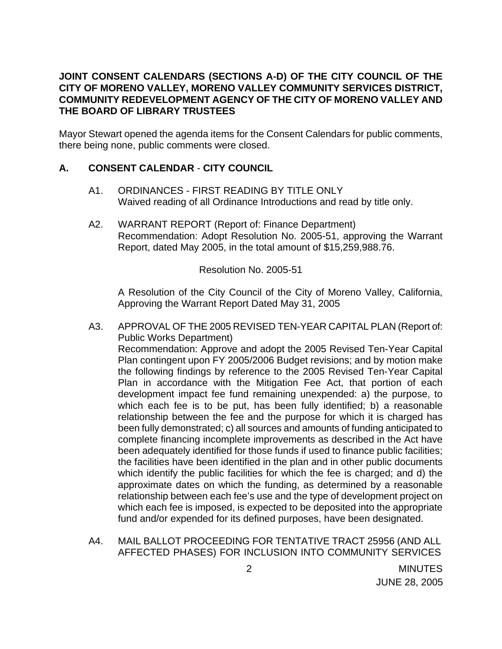## **JOINT CONSENT CALENDARS (SECTIONS A-D) OF THE CITY COUNCIL OF THE CITY OF MORENO VALLEY, MORENO VALLEY COMMUNITY SERVICES DISTRICT, COMMUNITY REDEVELOPMENT AGENCY OF THE CITY OF MORENO VALLEY AND THE BOARD OF LIBRARY TRUSTEES**

Mayor Stewart opened the agenda items for the Consent Calendars for public comments, there being none, public comments were closed.

## **A. CONSENT CALENDAR** - **CITY COUNCIL**

- A1. ORDINANCES FIRST READING BY TITLE ONLY Waived reading of all Ordinance Introductions and read by title only.
- A2. WARRANT REPORT (Report of: Finance Department) Recommendation: Adopt Resolution No. 2005-51, approving the Warrant Report, dated May 2005, in the total amount of \$15,259,988.76.

Resolution No. 2005-51

 A Resolution of the City Council of the City of Moreno Valley, California, Approving the Warrant Report Dated May 31, 2005

- A3. APPROVAL OF THE 2005 REVISED TEN-YEAR CAPITAL PLAN (Report of: Public Works Department) Recommendation: Approve and adopt the 2005 Revised Ten-Year Capital Plan contingent upon FY 2005/2006 Budget revisions; and by motion make the following findings by reference to the 2005 Revised Ten-Year Capital Plan in accordance with the Mitigation Fee Act, that portion of each development impact fee fund remaining unexpended: a) the purpose, to which each fee is to be put, has been fully identified; b) a reasonable relationship between the fee and the purpose for which it is charged has been fully demonstrated; c) all sources and amounts of funding anticipated to complete financing incomplete improvements as described in the Act have been adequately identified for those funds if used to finance public facilities; the facilities have been identified in the plan and in other public documents which identify the public facilities for which the fee is charged; and d) the approximate dates on which the funding, as determined by a reasonable relationship between each fee's use and the type of development project on which each fee is imposed, is expected to be deposited into the appropriate fund and/or expended for its defined purposes, have been designated.
- A4. MAIL BALLOT PROCEEDING FOR TENTATIVE TRACT 25956 (AND ALL AFFECTED PHASES) FOR INCLUSION INTO COMMUNITY SERVICES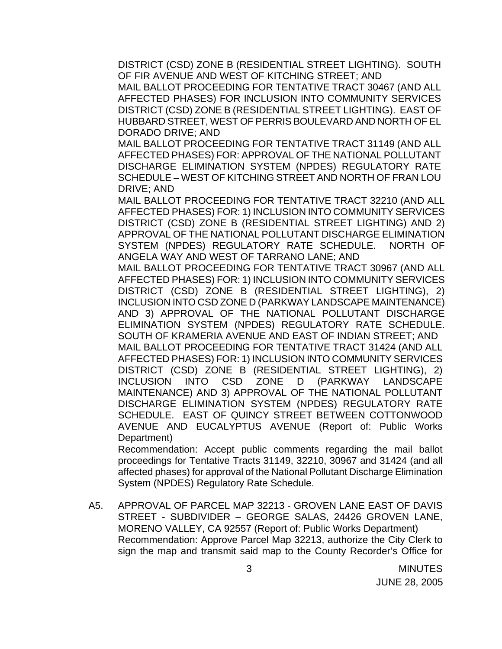DISTRICT (CSD) ZONE B (RESIDENTIAL STREET LIGHTING). SOUTH OF FIR AVENUE AND WEST OF KITCHING STREET; AND

MAIL BALLOT PROCEEDING FOR TENTATIVE TRACT 30467 (AND ALL AFFECTED PHASES) FOR INCLUSION INTO COMMUNITY SERVICES DISTRICT (CSD) ZONE B (RESIDENTIAL STREET LIGHTING). EAST OF HUBBARD STREET, WEST OF PERRIS BOULEVARD AND NORTH OF EL DORADO DRIVE; AND

MAIL BALLOT PROCEEDING FOR TENTATIVE TRACT 31149 (AND ALL AFFECTED PHASES) FOR: APPROVAL OF THE NATIONAL POLLUTANT DISCHARGE ELIMINATION SYSTEM (NPDES) REGULATORY RATE SCHEDULE – WEST OF KITCHING STREET AND NORTH OF FRAN LOU DRIVE; AND

MAIL BALLOT PROCEEDING FOR TENTATIVE TRACT 32210 (AND ALL AFFECTED PHASES) FOR: 1) INCLUSION INTO COMMUNITY SERVICES DISTRICT (CSD) ZONE B (RESIDENTIAL STREET LIGHTING) AND 2) APPROVAL OF THE NATIONAL POLLUTANT DISCHARGE ELIMINATION SYSTEM (NPDES) REGULATORY RATE SCHEDULE. NORTH OF ANGELA WAY AND WEST OF TARRANO LANE; AND

MAIL BALLOT PROCEEDING FOR TENTATIVE TRACT 30967 (AND ALL AFFECTED PHASES) FOR: 1) INCLUSION INTO COMMUNITY SERVICES DISTRICT (CSD) ZONE B (RESIDENTIAL STREET LIGHTING), 2) INCLUSION INTO CSD ZONE D (PARKWAY LANDSCAPE MAINTENANCE) AND 3) APPROVAL OF THE NATIONAL POLLUTANT DISCHARGE ELIMINATION SYSTEM (NPDES) REGULATORY RATE SCHEDULE. SOUTH OF KRAMERIA AVENUE AND EAST OF INDIAN STREET; AND MAIL BALLOT PROCEEDING FOR TENTATIVE TRACT 31424 (AND ALL AFFECTED PHASES) FOR: 1) INCLUSION INTO COMMUNITY SERVICES DISTRICT (CSD) ZONE B (RESIDENTIAL STREET LIGHTING), 2) INCLUSION INTO CSD ZONE D (PARKWAY LANDSCAPE MAINTENANCE) AND 3) APPROVAL OF THE NATIONAL POLLUTANT DISCHARGE ELIMINATION SYSTEM (NPDES) REGULATORY RATE SCHEDULE. EAST OF QUINCY STREET BETWEEN COTTONWOOD AVENUE AND EUCALYPTUS AVENUE (Report of: Public Works Department)

Recommendation: Accept public comments regarding the mail ballot proceedings for Tentative Tracts 31149, 32210, 30967 and 31424 (and all affected phases) for approval of the National Pollutant Discharge Elimination System (NPDES) Regulatory Rate Schedule.

A5. APPROVAL OF PARCEL MAP 32213 - GROVEN LANE EAST OF DAVIS STREET - SUBDIVIDER – GEORGE SALAS, 24426 GROVEN LANE, MORENO VALLEY, CA 92557 (Report of: Public Works Department) Recommendation: Approve Parcel Map 32213, authorize the City Clerk to sign the map and transmit said map to the County Recorder's Office for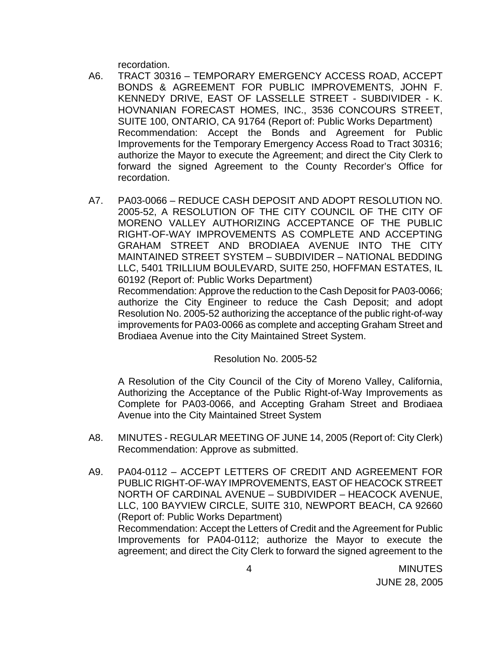recordation.

- A6. TRACT 30316 TEMPORARY EMERGENCY ACCESS ROAD, ACCEPT BONDS & AGREEMENT FOR PUBLIC IMPROVEMENTS, JOHN F. KENNEDY DRIVE, EAST OF LASSELLE STREET - SUBDIVIDER - K. HOVNANIAN FORECAST HOMES, INC., 3536 CONCOURS STREET, SUITE 100, ONTARIO, CA 91764 (Report of: Public Works Department) Recommendation: Accept the Bonds and Agreement for Public Improvements for the Temporary Emergency Access Road to Tract 30316; authorize the Mayor to execute the Agreement; and direct the City Clerk to forward the signed Agreement to the County Recorder's Office for recordation.
- A7. PA03-0066 REDUCE CASH DEPOSIT AND ADOPT RESOLUTION NO. 2005-52, A RESOLUTION OF THE CITY COUNCIL OF THE CITY OF MORENO VALLEY AUTHORIZING ACCEPTANCE OF THE PUBLIC RIGHT-OF-WAY IMPROVEMENTS AS COMPLETE AND ACCEPTING GRAHAM STREET AND BRODIAEA AVENUE INTO THE CITY MAINTAINED STREET SYSTEM – SUBDIVIDER – NATIONAL BEDDING LLC, 5401 TRILLIUM BOULEVARD, SUITE 250, HOFFMAN ESTATES, IL 60192 (Report of: Public Works Department)

 Recommendation: Approve the reduction to the Cash Deposit for PA03-0066; authorize the City Engineer to reduce the Cash Deposit; and adopt Resolution No. 2005-52 authorizing the acceptance of the public right-of-way improvements for PA03-0066 as complete and accepting Graham Street and Brodiaea Avenue into the City Maintained Street System.

#### Resolution No. 2005-52

 A Resolution of the City Council of the City of Moreno Valley, California, Authorizing the Acceptance of the Public Right-of-Way Improvements as Complete for PA03-0066, and Accepting Graham Street and Brodiaea Avenue into the City Maintained Street System

- A8. MINUTES REGULAR MEETING OF JUNE 14, 2005 (Report of: City Clerk) Recommendation: Approve as submitted.
- A9. PA04-0112 ACCEPT LETTERS OF CREDIT AND AGREEMENT FOR PUBLIC RIGHT-OF-WAY IMPROVEMENTS, EAST OF HEACOCK STREET NORTH OF CARDINAL AVENUE – SUBDIVIDER – HEACOCK AVENUE, LLC, 100 BAYVIEW CIRCLE, SUITE 310, NEWPORT BEACH, CA 92660 (Report of: Public Works Department) Recommendation: Accept the Letters of Credit and the Agreement for Public Improvements for PA04-0112; authorize the Mayor to execute the agreement; and direct the City Clerk to forward the signed agreement to the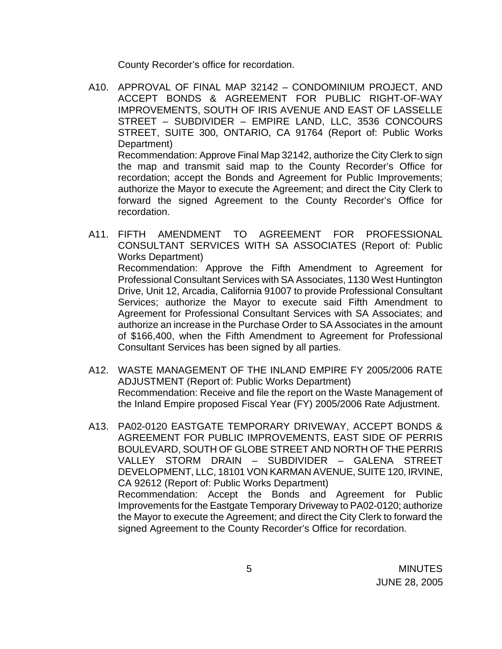County Recorder's office for recordation.

- A10. APPROVAL OF FINAL MAP 32142 CONDOMINIUM PROJECT, AND ACCEPT BONDS & AGREEMENT FOR PUBLIC RIGHT-OF-WAY IMPROVEMENTS, SOUTH OF IRIS AVENUE AND EAST OF LASSELLE STREET – SUBDIVIDER – EMPIRE LAND, LLC, 3536 CONCOURS STREET, SUITE 300, ONTARIO, CA 91764 (Report of: Public Works Department) Recommendation: Approve Final Map 32142, authorize the City Clerk to sign the map and transmit said map to the County Recorder's Office for recordation; accept the Bonds and Agreement for Public Improvements; authorize the Mayor to execute the Agreement; and direct the City Clerk to forward the signed Agreement to the County Recorder's Office for recordation.
- A11. FIFTH AMENDMENT TO AGREEMENT FOR PROFESSIONAL CONSULTANT SERVICES WITH SA ASSOCIATES (Report of: Public Works Department) Recommendation: Approve the Fifth Amendment to Agreement for Professional Consultant Services with SA Associates, 1130 West Huntington Drive, Unit 12, Arcadia, California 91007 to provide Professional Consultant Services; authorize the Mayor to execute said Fifth Amendment to Agreement for Professional Consultant Services with SA Associates; and authorize an increase in the Purchase Order to SA Associates in the amount of \$166,400, when the Fifth Amendment to Agreement for Professional Consultant Services has been signed by all parties.
- A12. WASTE MANAGEMENT OF THE INLAND EMPIRE FY 2005/2006 RATE ADJUSTMENT (Report of: Public Works Department) Recommendation: Receive and file the report on the Waste Management of the Inland Empire proposed Fiscal Year (FY) 2005/2006 Rate Adjustment.
- A13. PA02-0120 EASTGATE TEMPORARY DRIVEWAY, ACCEPT BONDS & AGREEMENT FOR PUBLIC IMPROVEMENTS, EAST SIDE OF PERRIS BOULEVARD, SOUTH OF GLOBE STREET AND NORTH OF THE PERRIS VALLEY STORM DRAIN – SUBDIVIDER – GALENA STREET DEVELOPMENT, LLC, 18101 VON KARMAN AVENUE, SUITE 120, IRVINE, CA 92612 (Report of: Public Works Department) Recommendation: Accept the Bonds and Agreement for Public Improvements for the Eastgate Temporary Driveway to PA02-0120; authorize the Mayor to execute the Agreement; and direct the City Clerk to forward the signed Agreement to the County Recorder's Office for recordation.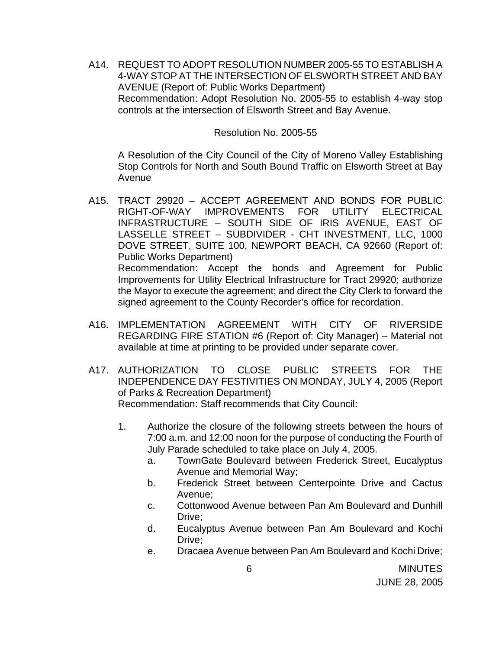A14. REQUEST TO ADOPT RESOLUTION NUMBER 2005-55 TO ESTABLISH A 4-WAY STOP AT THE INTERSECTION OF ELSWORTH STREET AND BAY AVENUE (Report of: Public Works Department) Recommendation: Adopt Resolution No. 2005-55 to establish 4-way stop controls at the intersection of Elsworth Street and Bay Avenue.

#### Resolution No. 2005-55

A Resolution of the City Council of the City of Moreno Valley Establishing Stop Controls for North and South Bound Traffic on Elsworth Street at Bay Avenue

- A15. TRACT 29920 ACCEPT AGREEMENT AND BONDS FOR PUBLIC RIGHT-OF-WAY IMPROVEMENTS FOR UTILITY ELECTRICAL INFRASTRUCTURE – SOUTH SIDE OF IRIS AVENUE, EAST OF LASSELLE STREET – SUBDIVIDER - CHT INVESTMENT, LLC, 1000 DOVE STREET, SUITE 100, NEWPORT BEACH, CA 92660 (Report of: Public Works Department) Recommendation: Accept the bonds and Agreement for Public Improvements for Utility Electrical Infrastructure for Tract 29920; authorize the Mayor to execute the agreement; and direct the City Clerk to forward the signed agreement to the County Recorder's office for recordation.
- A16. IMPLEMENTATION AGREEMENT WITH CITY OF RIVERSIDE REGARDING FIRE STATION #6 (Report of: City Manager) – Material not available at time at printing to be provided under separate cover.
- A17. AUTHORIZATION TO CLOSE PUBLIC STREETS FOR THE INDEPENDENCE DAY FESTIVITIES ON MONDAY, JULY 4, 2005 (Report of Parks & Recreation Department) Recommendation: Staff recommends that City Council:

1. Authorize the closure of the following streets between the hours of 7:00 a.m. and 12:00 noon for the purpose of conducting the Fourth of July Parade scheduled to take place on July 4, 2005.

- a. TownGate Boulevard between Frederick Street, Eucalyptus Avenue and Memorial Way;
- b. Frederick Street between Centerpointe Drive and Cactus Avenue;
- c. Cottonwood Avenue between Pan Am Boulevard and Dunhill Drive:
- d. Eucalyptus Avenue between Pan Am Boulevard and Kochi Drive;
- e. Dracaea Avenue between Pan Am Boulevard and Kochi Drive;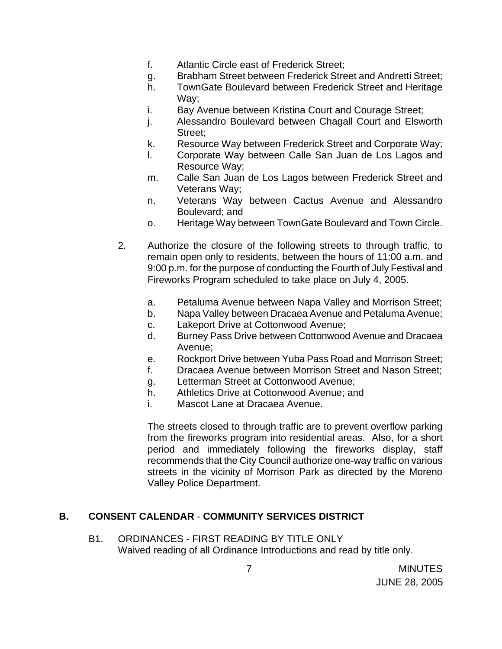- f. Atlantic Circle east of Frederick Street;
- g. Brabham Street between Frederick Street and Andretti Street;
- h. TownGate Boulevard between Frederick Street and Heritage Way;
- i. Bay Avenue between Kristina Court and Courage Street;
- j. Alessandro Boulevard between Chagall Court and Elsworth Street;
- k. Resource Way between Frederick Street and Corporate Way;
- l. Corporate Way between Calle San Juan de Los Lagos and Resource Way;
- m. Calle San Juan de Los Lagos between Frederick Street and Veterans Way;
- n. Veterans Way between Cactus Avenue and Alessandro Boulevard; and
- o. Heritage Way between TownGate Boulevard and Town Circle.
- 2. Authorize the closure of the following streets to through traffic, to remain open only to residents, between the hours of 11:00 a.m. and 9:00 p.m. for the purpose of conducting the Fourth of July Festival and Fireworks Program scheduled to take place on July 4, 2005.
	- a. Petaluma Avenue between Napa Valley and Morrison Street;
	- b. Napa Valley between Dracaea Avenue and Petaluma Avenue;
	- c. Lakeport Drive at Cottonwood Avenue;
	- d. Burney Pass Drive between Cottonwood Avenue and Dracaea Avenue;
	- e. Rockport Drive between Yuba Pass Road and Morrison Street;
	- f. Dracaea Avenue between Morrison Street and Nason Street;
	- g. Letterman Street at Cottonwood Avenue;
	- h. Athletics Drive at Cottonwood Avenue; and
	- i. Mascot Lane at Dracaea Avenue.

The streets closed to through traffic are to prevent overflow parking from the fireworks program into residential areas. Also, for a short period and immediately following the fireworks display, staff recommends that the City Council authorize one-way traffic on various streets in the vicinity of Morrison Park as directed by the Moreno Valley Police Department.

#### **B. CONSENT CALENDAR** - **COMMUNITY SERVICES DISTRICT**

B1. ORDINANCES - FIRST READING BY TITLE ONLY Waived reading of all Ordinance Introductions and read by title only.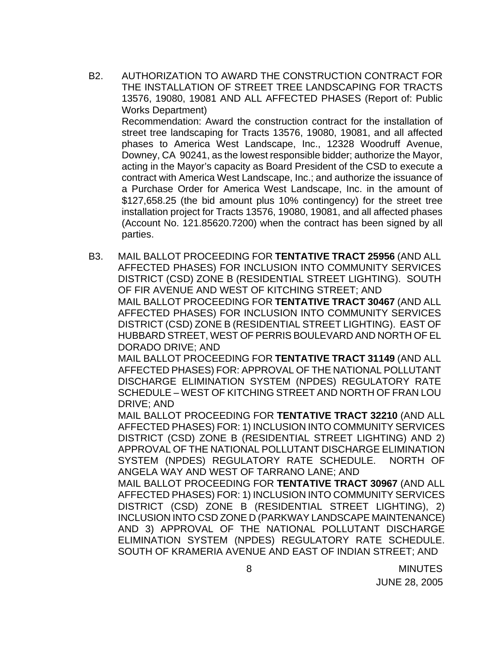B2. AUTHORIZATION TO AWARD THE CONSTRUCTION CONTRACT FOR THE INSTALLATION OF STREET TREE LANDSCAPING FOR TRACTS 13576, 19080, 19081 AND ALL AFFECTED PHASES (Report of: Public Works Department)

Recommendation: Award the construction contract for the installation of street tree landscaping for Tracts 13576, 19080, 19081, and all affected phases to America West Landscape, Inc., 12328 Woodruff Avenue, Downey, CA 90241, as the lowest responsible bidder; authorize the Mayor, acting in the Mayor's capacity as Board President of the CSD to execute a contract with America West Landscape, Inc.; and authorize the issuance of a Purchase Order for America West Landscape, Inc. in the amount of \$127,658.25 (the bid amount plus 10% contingency) for the street tree installation project for Tracts 13576, 19080, 19081, and all affected phases (Account No. 121.85620.7200) when the contract has been signed by all parties.

B3. MAIL BALLOT PROCEEDING FOR **TENTATIVE TRACT 25956** (AND ALL AFFECTED PHASES) FOR INCLUSION INTO COMMUNITY SERVICES DISTRICT (CSD) ZONE B (RESIDENTIAL STREET LIGHTING). SOUTH OF FIR AVENUE AND WEST OF KITCHING STREET; AND MAIL BALLOT PROCEEDING FOR **TENTATIVE TRACT 30467** (AND ALL AFFECTED PHASES) FOR INCLUSION INTO COMMUNITY SERVICES DISTRICT (CSD) ZONE B (RESIDENTIAL STREET LIGHTING). EAST OF HUBBARD STREET, WEST OF PERRIS BOULEVARD AND NORTH OF EL DORADO DRIVE; AND

MAIL BALLOT PROCEEDING FOR **TENTATIVE TRACT 31149** (AND ALL AFFECTED PHASES) FOR: APPROVAL OF THE NATIONAL POLLUTANT DISCHARGE ELIMINATION SYSTEM (NPDES) REGULATORY RATE SCHEDULE – WEST OF KITCHING STREET AND NORTH OF FRAN LOU DRIVE; AND

MAIL BALLOT PROCEEDING FOR **TENTATIVE TRACT 32210** (AND ALL AFFECTED PHASES) FOR: 1) INCLUSION INTO COMMUNITY SERVICES DISTRICT (CSD) ZONE B (RESIDENTIAL STREET LIGHTING) AND 2) APPROVAL OF THE NATIONAL POLLUTANT DISCHARGE ELIMINATION SYSTEM (NPDES) REGULATORY RATE SCHEDULE. NORTH OF ANGELA WAY AND WEST OF TARRANO LANE; AND

MAIL BALLOT PROCEEDING FOR **TENTATIVE TRACT 30967** (AND ALL AFFECTED PHASES) FOR: 1) INCLUSION INTO COMMUNITY SERVICES DISTRICT (CSD) ZONE B (RESIDENTIAL STREET LIGHTING), 2) INCLUSION INTO CSD ZONE D (PARKWAY LANDSCAPE MAINTENANCE) AND 3) APPROVAL OF THE NATIONAL POLLUTANT DISCHARGE ELIMINATION SYSTEM (NPDES) REGULATORY RATE SCHEDULE. SOUTH OF KRAMERIA AVENUE AND EAST OF INDIAN STREET; AND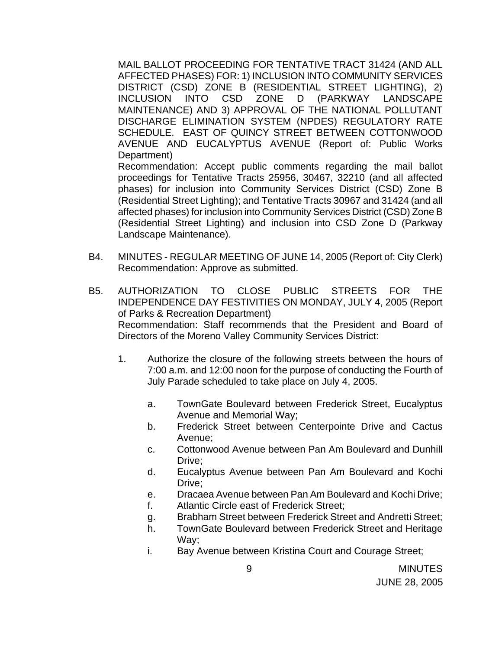MAIL BALLOT PROCEEDING FOR TENTATIVE TRACT 31424 (AND ALL AFFECTED PHASES) FOR: 1) INCLUSION INTO COMMUNITY SERVICES DISTRICT (CSD) ZONE B (RESIDENTIAL STREET LIGHTING), 2) INCLUSION INTO CSD ZONE D (PARKWAY LANDSCAPE MAINTENANCE) AND 3) APPROVAL OF THE NATIONAL POLLUTANT DISCHARGE ELIMINATION SYSTEM (NPDES) REGULATORY RATE SCHEDULE. EAST OF QUINCY STREET BETWEEN COTTONWOOD AVENUE AND EUCALYPTUS AVENUE (Report of: Public Works Department) Recommendation: Accept public comments regarding the mail ballot

proceedings for Tentative Tracts 25956, 30467, 32210 (and all affected phases) for inclusion into Community Services District (CSD) Zone B (Residential Street Lighting); and Tentative Tracts 30967 and 31424 (and all affected phases) for inclusion into Community Services District (CSD) Zone B (Residential Street Lighting) and inclusion into CSD Zone D (Parkway Landscape Maintenance).

- B4. MINUTES REGULAR MEETING OF JUNE 14, 2005 (Report of: City Clerk) Recommendation: Approve as submitted.
- B5. AUTHORIZATION TO CLOSE PUBLIC STREETS FOR THE INDEPENDENCE DAY FESTIVITIES ON MONDAY, JULY 4, 2005 (Report of Parks & Recreation Department) Recommendation: Staff recommends that the President and Board of Directors of the Moreno Valley Community Services District:
	- 1. Authorize the closure of the following streets between the hours of 7:00 a.m. and 12:00 noon for the purpose of conducting the Fourth of July Parade scheduled to take place on July 4, 2005.
		- a. TownGate Boulevard between Frederick Street, Eucalyptus Avenue and Memorial Way;
		- b. Frederick Street between Centerpointe Drive and Cactus Avenue;
		- c. Cottonwood Avenue between Pan Am Boulevard and Dunhill Drive;
		- d. Eucalyptus Avenue between Pan Am Boulevard and Kochi Drive;
		- e. Dracaea Avenue between Pan Am Boulevard and Kochi Drive;
		- f. Atlantic Circle east of Frederick Street;
		- g. Brabham Street between Frederick Street and Andretti Street;
		- h. TownGate Boulevard between Frederick Street and Heritage Way;
		- i. Bay Avenue between Kristina Court and Courage Street;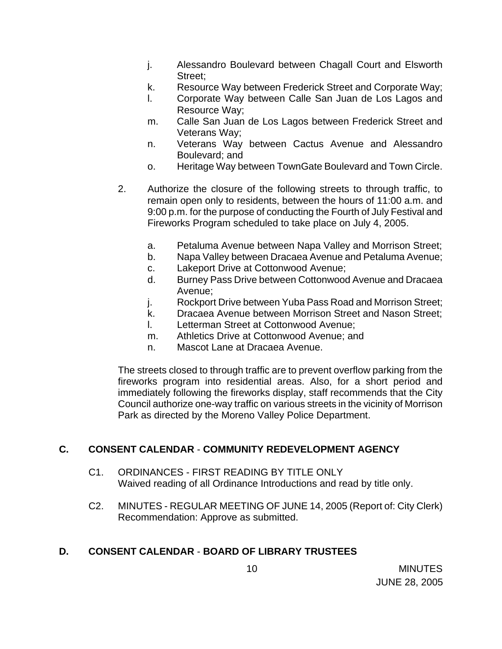- j. Alessandro Boulevard between Chagall Court and Elsworth Street;
- k. Resource Way between Frederick Street and Corporate Way;
- l. Corporate Way between Calle San Juan de Los Lagos and Resource Way;
- m. Calle San Juan de Los Lagos between Frederick Street and Veterans Way;
- n. Veterans Way between Cactus Avenue and Alessandro Boulevard; and
- o. Heritage Way between TownGate Boulevard and Town Circle.
- 2. Authorize the closure of the following streets to through traffic, to remain open only to residents, between the hours of 11:00 a.m. and 9:00 p.m. for the purpose of conducting the Fourth of July Festival and Fireworks Program scheduled to take place on July 4, 2005.
	- a. Petaluma Avenue between Napa Valley and Morrison Street;
	- b. Napa Valley between Dracaea Avenue and Petaluma Avenue;
	- c. Lakeport Drive at Cottonwood Avenue;
	- d. Burney Pass Drive between Cottonwood Avenue and Dracaea Avenue;
	- j. Rockport Drive between Yuba Pass Road and Morrison Street;
	- k. Dracaea Avenue between Morrison Street and Nason Street;
	- l. Letterman Street at Cottonwood Avenue;
	- m. Athletics Drive at Cottonwood Avenue; and
	- n. Mascot Lane at Dracaea Avenue.

 The streets closed to through traffic are to prevent overflow parking from the fireworks program into residential areas. Also, for a short period and immediately following the fireworks display, staff recommends that the City Council authorize one-way traffic on various streets in the vicinity of Morrison Park as directed by the Moreno Valley Police Department.

## **C. CONSENT CALENDAR** - **COMMUNITY REDEVELOPMENT AGENCY**

- C1. ORDINANCES FIRST READING BY TITLE ONLY Waived reading of all Ordinance Introductions and read by title only.
- C2. MINUTES REGULAR MEETING OF JUNE 14, 2005 (Report of: City Clerk) Recommendation: Approve as submitted.

## **D. CONSENT CALENDAR** - **BOARD OF LIBRARY TRUSTEES**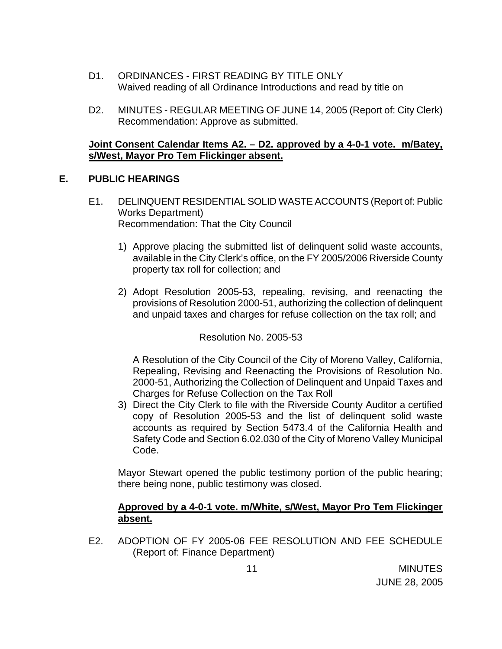- D1. ORDINANCES FIRST READING BY TITLE ONLY Waived reading of all Ordinance Introductions and read by title on
- D2. MINUTES REGULAR MEETING OF JUNE 14, 2005 (Report of: City Clerk) Recommendation: Approve as submitted.

## **Joint Consent Calendar Items A2. – D2. approved by a 4-0-1 vote. m/Batey, s/West, Mayor Pro Tem Flickinger absent.**

#### **E. PUBLIC HEARINGS**

- E1. DELINQUENT RESIDENTIAL SOLID WASTE ACCOUNTS (Report of: Public Works Department) Recommendation: That the City Council
	- 1) Approve placing the submitted list of delinquent solid waste accounts, available in the City Clerk's office, on the FY 2005/2006 Riverside County property tax roll for collection; and
	- 2) Adopt Resolution 2005-53, repealing, revising, and reenacting the provisions of Resolution 2000-51, authorizing the collection of delinquent and unpaid taxes and charges for refuse collection on the tax roll; and

Resolution No. 2005-53

 A Resolution of the City Council of the City of Moreno Valley, California, Repealing, Revising and Reenacting the Provisions of Resolution No. 2000-51, Authorizing the Collection of Delinquent and Unpaid Taxes and Charges for Refuse Collection on the Tax Roll

3) Direct the City Clerk to file with the Riverside County Auditor a certified copy of Resolution 2005-53 and the list of delinquent solid waste accounts as required by Section 5473.4 of the California Health and Safety Code and Section 6.02.030 of the City of Moreno Valley Municipal Code.

 Mayor Stewart opened the public testimony portion of the public hearing; there being none, public testimony was closed.

## **Approved by a 4-0-1 vote. m/White, s/West, Mayor Pro Tem Flickinger absent.**

E2. ADOPTION OF FY 2005-06 FEE RESOLUTION AND FEE SCHEDULE (Report of: Finance Department)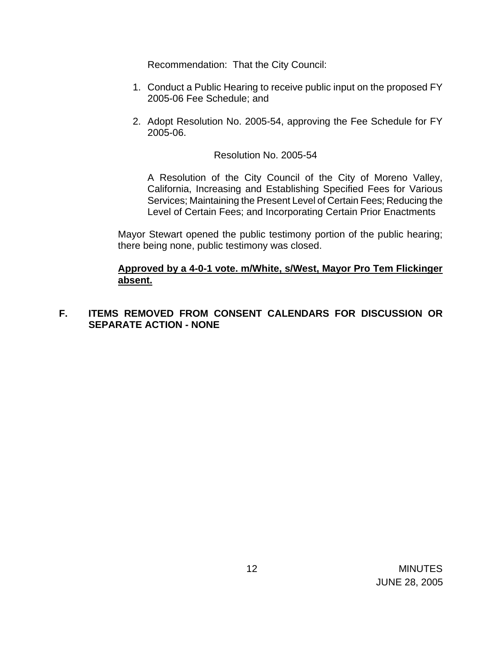Recommendation: That the City Council:

- 1. Conduct a Public Hearing to receive public input on the proposed FY 2005-06 Fee Schedule; and
- 2. Adopt Resolution No. 2005-54, approving the Fee Schedule for FY 2005-06.

#### Resolution No. 2005-54

A Resolution of the City Council of the City of Moreno Valley, California, Increasing and Establishing Specified Fees for Various Services; Maintaining the Present Level of Certain Fees; Reducing the Level of Certain Fees; and Incorporating Certain Prior Enactments

 Mayor Stewart opened the public testimony portion of the public hearing; there being none, public testimony was closed.

#### **Approved by a 4-0-1 vote. m/White, s/West, Mayor Pro Tem Flickinger absent.**

## **F. ITEMS REMOVED FROM CONSENT CALENDARS FOR DISCUSSION OR SEPARATE ACTION - NONE**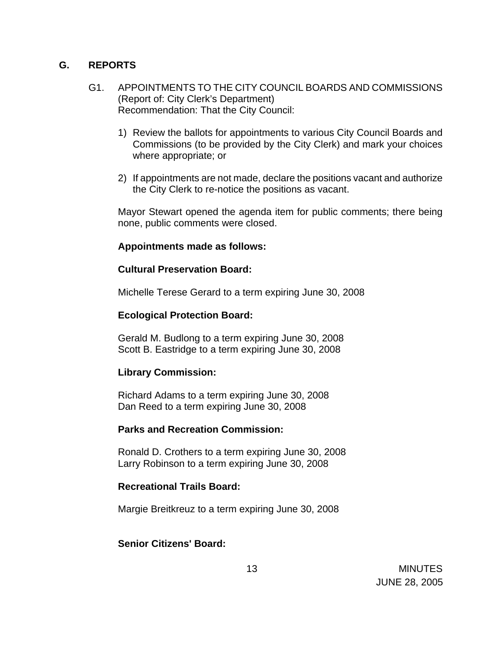#### **G. REPORTS**

- G1. APPOINTMENTS TO THE CITY COUNCIL BOARDS AND COMMISSIONS (Report of: City Clerk's Department) Recommendation: That the City Council:
	- 1) Review the ballots for appointments to various City Council Boards and Commissions (to be provided by the City Clerk) and mark your choices where appropriate; or
	- 2) If appointments are not made, declare the positions vacant and authorize the City Clerk to re-notice the positions as vacant.

 Mayor Stewart opened the agenda item for public comments; there being none, public comments were closed.

#### **Appointments made as follows:**

## **Cultural Preservation Board:**

Michelle Terese Gerard to a term expiring June 30, 2008

## **Ecological Protection Board:**

Gerald M. Budlong to a term expiring June 30, 2008 Scott B. Eastridge to a term expiring June 30, 2008

## **Library Commission:**

Richard Adams to a term expiring June 30, 2008 Dan Reed to a term expiring June 30, 2008

#### **Parks and Recreation Commission:**

 Ronald D. Crothers to a term expiring June 30, 2008 Larry Robinson to a term expiring June 30, 2008

#### **Recreational Trails Board:**

Margie Breitkreuz to a term expiring June 30, 2008

#### **Senior Citizens' Board:**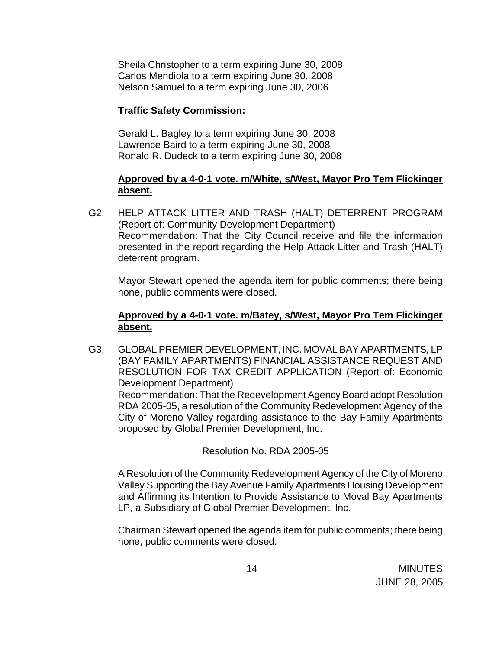Sheila Christopher to a term expiring June 30, 2008 Carlos Mendiola to a term expiring June 30, 2008 Nelson Samuel to a term expiring June 30, 2006

### **Traffic Safety Commission:**

Gerald L. Bagley to a term expiring June 30, 2008 Lawrence Baird to a term expiring June 30, 2008 Ronald R. Dudeck to a term expiring June 30, 2008

### **Approved by a 4-0-1 vote. m/White, s/West, Mayor Pro Tem Flickinger absent.**

G2. HELP ATTACK LITTER AND TRASH (HALT) DETERRENT PROGRAM (Report of: Community Development Department) Recommendation: That the City Council receive and file the information presented in the report regarding the Help Attack Litter and Trash (HALT) deterrent program.

 Mayor Stewart opened the agenda item for public comments; there being none, public comments were closed.

## **Approved by a 4-0-1 vote. m/Batey, s/West, Mayor Pro Tem Flickinger absent.**

G3. GLOBAL PREMIER DEVELOPMENT, INC. MOVAL BAY APARTMENTS, LP (BAY FAMILY APARTMENTS) FINANCIAL ASSISTANCE REQUEST AND RESOLUTION FOR TAX CREDIT APPLICATION (Report of: Economic Development Department) Recommendation: That the Redevelopment Agency Board adopt Resolution RDA 2005-05, a resolution of the Community Redevelopment Agency of the City of Moreno Valley regarding assistance to the Bay Family Apartments proposed by Global Premier Development, Inc.

## Resolution No. RDA 2005-05

 A Resolution of the Community Redevelopment Agency of the City of Moreno Valley Supporting the Bay Avenue Family Apartments Housing Development and Affirming its Intention to Provide Assistance to Moval Bay Apartments LP, a Subsidiary of Global Premier Development, Inc.

 Chairman Stewart opened the agenda item for public comments; there being none, public comments were closed.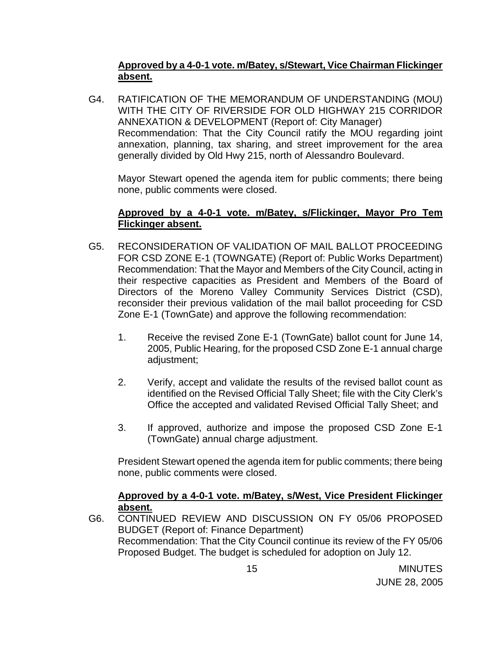## **Approved by a 4-0-1 vote. m/Batey, s/Stewart, Vice Chairman Flickinger absent.**

G4. RATIFICATION OF THE MEMORANDUM OF UNDERSTANDING (MOU) WITH THE CITY OF RIVERSIDE FOR OLD HIGHWAY 215 CORRIDOR ANNEXATION & DEVELOPMENT (Report of: City Manager) Recommendation: That the City Council ratify the MOU regarding joint annexation, planning, tax sharing, and street improvement for the area generally divided by Old Hwy 215, north of Alessandro Boulevard.

 Mayor Stewart opened the agenda item for public comments; there being none, public comments were closed.

## **Approved by a 4-0-1 vote. m/Batey, s/Flickinger, Mayor Pro Tem Flickinger absent.**

- G5. RECONSIDERATION OF VALIDATION OF MAIL BALLOT PROCEEDING FOR CSD ZONE E-1 (TOWNGATE) (Report of: Public Works Department) Recommendation: That the Mayor and Members of the City Council, acting in their respective capacities as President and Members of the Board of Directors of the Moreno Valley Community Services District (CSD), reconsider their previous validation of the mail ballot proceeding for CSD Zone E-1 (TownGate) and approve the following recommendation:
	- 1. Receive the revised Zone E-1 (TownGate) ballot count for June 14, 2005, Public Hearing, for the proposed CSD Zone E-1 annual charge adjustment;
	- 2. Verify, accept and validate the results of the revised ballot count as identified on the Revised Official Tally Sheet; file with the City Clerk's Office the accepted and validated Revised Official Tally Sheet; and
	- 3. If approved, authorize and impose the proposed CSD Zone E-1 (TownGate) annual charge adjustment.

 President Stewart opened the agenda item for public comments; there being none, public comments were closed.

## **Approved by a 4-0-1 vote. m/Batey, s/West, Vice President Flickinger absent.**

G6. CONTINUED REVIEW AND DISCUSSION ON FY 05/06 PROPOSED BUDGET (Report of: Finance Department) Recommendation: That the City Council continue its review of the FY 05/06 Proposed Budget. The budget is scheduled for adoption on July 12.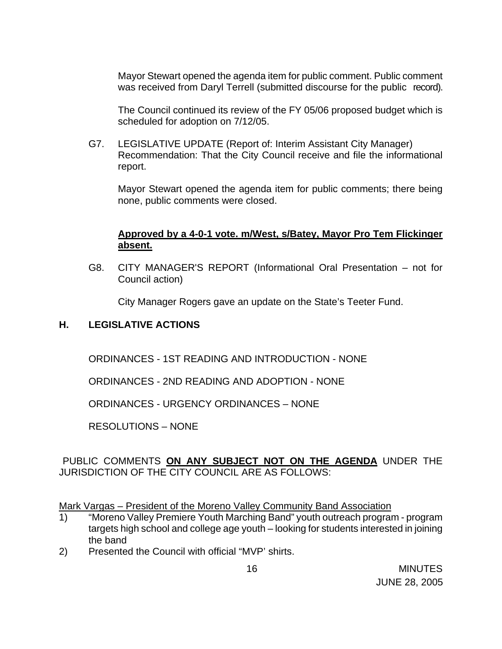Mayor Stewart opened the agenda item for public comment. Public comment was received from Daryl Terrell (submitted discourse for the public record).

 The Council continued its review of the FY 05/06 proposed budget which is scheduled for adoption on 7/12/05.

G7. LEGISLATIVE UPDATE (Report of: Interim Assistant City Manager) Recommendation: That the City Council receive and file the informational report.

Mayor Stewart opened the agenda item for public comments; there being none, public comments were closed.

## **Approved by a 4-0-1 vote. m/West, s/Batey, Mayor Pro Tem Flickinger absent.**

G8. CITY MANAGER'S REPORT (Informational Oral Presentation – not for Council action)

City Manager Rogers gave an update on the State's Teeter Fund.

## **H. LEGISLATIVE ACTIONS**

ORDINANCES - 1ST READING AND INTRODUCTION - NONE

ORDINANCES - 2ND READING AND ADOPTION - NONE

ORDINANCES - URGENCY ORDINANCES – NONE

RESOLUTIONS – NONE

## PUBLIC COMMENTS **ON ANY SUBJECT NOT ON THE AGENDA** UNDER THE JURISDICTION OF THE CITY COUNCIL ARE AS FOLLOWS:

Mark Vargas – President of the Moreno Valley Community Band Association

- 1) "Moreno Valley Premiere Youth Marching Band" youth outreach program program targets high school and college age youth – looking for students interested in joining the band
- 2) Presented the Council with official "MVP' shirts.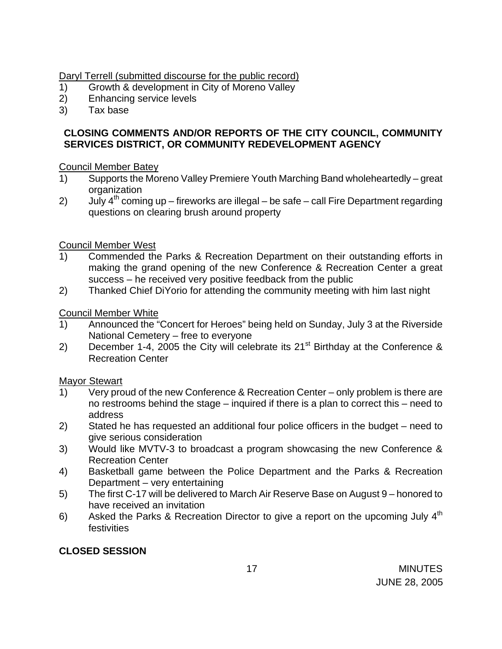## Daryl Terrell (submitted discourse for the public record)

- 1) Growth & development in City of Moreno Valley
- 2) Enhancing service levels
- 3) Tax base

## **CLOSING COMMENTS AND/OR REPORTS OF THE CITY COUNCIL, COMMUNITY SERVICES DISTRICT, OR COMMUNITY REDEVELOPMENT AGENCY**

#### Council Member Batey

- 1) Supports the Moreno Valley Premiere Youth Marching Band wholeheartedly great organization
- 2) July  $4^{th}$  coming up fireworks are illegal be safe call Fire Department regarding questions on clearing brush around property

## Council Member West

- 1) Commended the Parks & Recreation Department on their outstanding efforts in making the grand opening of the new Conference & Recreation Center a great success – he received very positive feedback from the public
- 2) Thanked Chief DiYorio for attending the community meeting with him last night

## Council Member White

- 1) Announced the "Concert for Heroes" being held on Sunday, July 3 at the Riverside National Cemetery – free to everyone
- 2) December 1-4, 2005 the City will celebrate its  $21^{st}$  Birthday at the Conference & Recreation Center

#### Mayor Stewart

- 1) Very proud of the new Conference & Recreation Center only problem is there are no restrooms behind the stage – inquired if there is a plan to correct this – need to address
- 2) Stated he has requested an additional four police officers in the budget need to give serious consideration
- 3) Would like MVTV-3 to broadcast a program showcasing the new Conference & Recreation Center
- 4) Basketball game between the Police Department and the Parks & Recreation Department – very entertaining
- 5) The first C-17 will be delivered to March Air Reserve Base on August 9 honored to have received an invitation
- 6) Asked the Parks & Recreation Director to give a report on the upcoming July  $4<sup>th</sup>$ festivities

## **CLOSED SESSION**